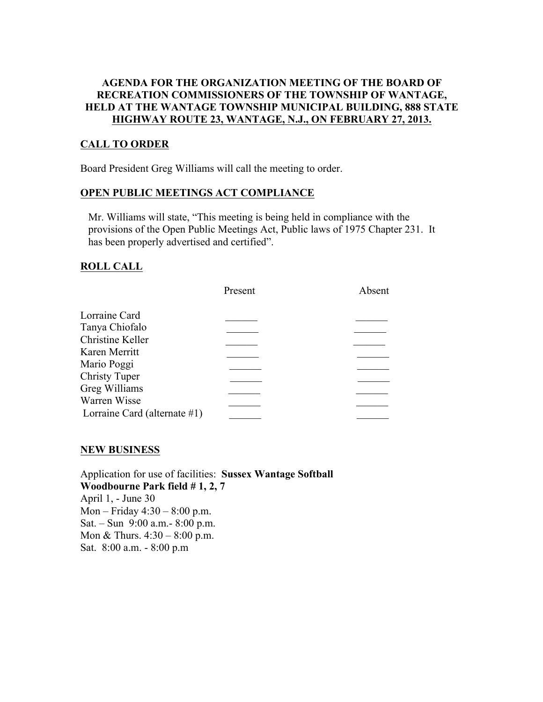# AGENDA FOR THE ORGANIZATION MEETING OF THE BOARD OF RECREATION COMMISSIONERS OF THE TOWNSHIP OF WANTAGE, HELD AT THE WANTAGE TOWNSHIP MUNICIPAL BUILDING, 888 STATE HIGHWAY ROUTE 23, WANTAGE, N.J., ON FEBRUARY 27, 2013.

# CALL TO ORDER

Board President Greg Williams will call the meeting to order.

#### OPEN PUBLIC MEETINGS ACT COMPLIANCE

 Mr. Williams will state, "This meeting is being held in compliance with the provisions of the Open Public Meetings Act, Public laws of 1975 Chapter 231. It has been properly advertised and certified".

### ROLL CALL

|                                  | Present | Absent |
|----------------------------------|---------|--------|
| Lorraine Card                    |         |        |
| Tanya Chiofalo                   |         |        |
| Christine Keller                 |         |        |
| Karen Merritt                    |         |        |
| Mario Poggi                      |         |        |
| <b>Christy Tuper</b>             |         |        |
| Greg Williams                    |         |        |
| Warren Wisse                     |         |        |
| Lorraine Card (alternate $\#1$ ) |         |        |
|                                  |         |        |

#### NEW BUSINESS

Application for use of facilities: Sussex Wantage Softball Woodbourne Park field # 1, 2, 7 April 1, - June 30 Mon – Friday 4:30 – 8:00 p.m. Sat. – Sun 9:00 a.m.- 8:00 p.m. Mon & Thurs. 4:30 – 8:00 p.m. Sat. 8:00 a.m. - 8:00 p.m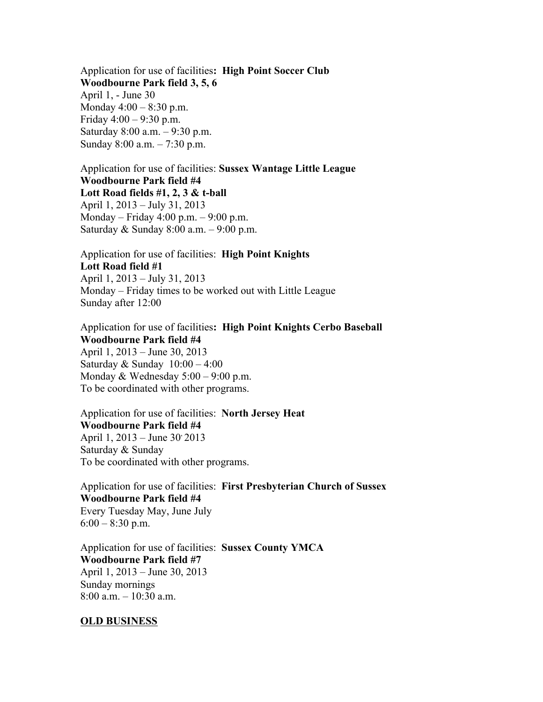Application for use of facilities: High Point Soccer Club Woodbourne Park field 3, 5, 6 April 1, - June 30 Monday 4:00 – 8:30 p.m. Friday  $4:00 - 9:30$  p.m. Saturday 8:00 a.m. – 9:30 p.m. Sunday 8:00 a.m. – 7:30 p.m.

Application for use of facilities: Sussex Wantage Little League Woodbourne Park field #4 Lott Road fields #1, 2, 3 & t-ball April 1, 2013 – July 31, 2013 Monday – Friday 4:00 p.m. – 9:00 p.m. Saturday & Sunday 8:00 a.m. – 9:00 p.m.

Application for use of facilities: High Point Knights Lott Road field #1 April 1, 2013 – July 31, 2013 Monday – Friday times to be worked out with Little League Sunday after 12:00

Application for use of facilities: High Point Knights Cerbo Baseball Woodbourne Park field #4 April 1, 2013 – June 30, 2013 Saturday  $&$  Sunday  $10:00 - 4:00$ Monday & Wednesday  $5:00 - 9:00$  p.m. To be coordinated with other programs.

Application for use of facilities: North Jersey Heat Woodbourne Park field #4 April 1, 2013 – June 30, 2013 Saturday & Sunday To be coordinated with other programs.

Application for use of facilities: First Presbyterian Church of Sussex Woodbourne Park field #4 Every Tuesday May, June July 6:00 – 8:30 p.m.

Application for use of facilities: Sussex County YMCA Woodbourne Park field #7 April 1, 2013 – June 30, 2013 Sunday mornings  $8:00$  a.m.  $-10:30$  a.m.

#### OLD BUSINESS